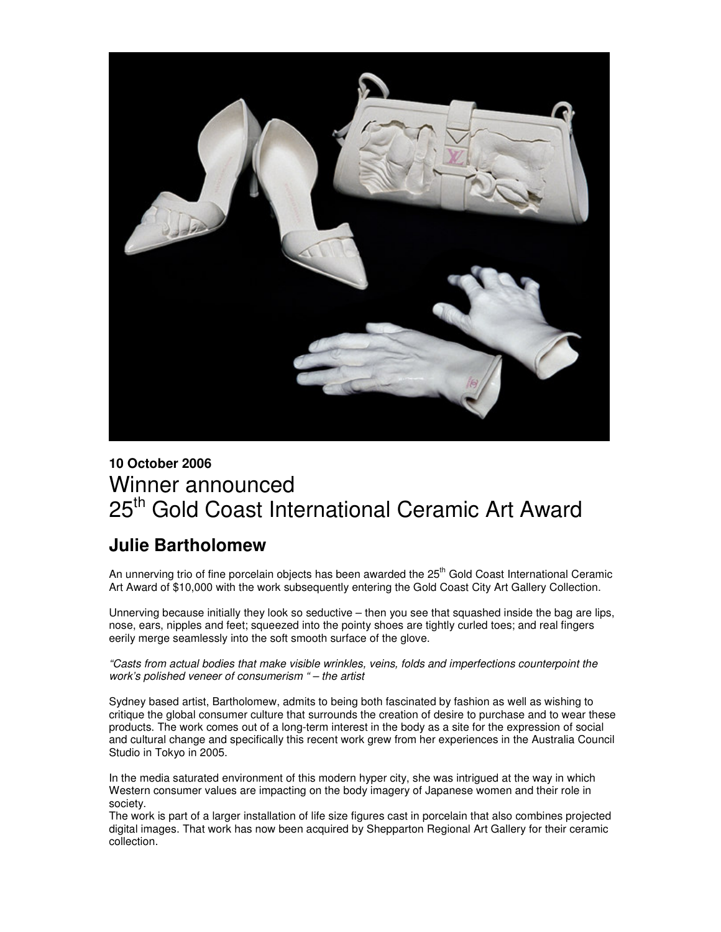

## **10 October 2006** Winner announced 25<sup>th</sup> Gold Coast International Ceramic Art Award

## **Julie Bartholomew**

An unnerving trio of fine porcelain objects has been awarded the 25<sup>th</sup> Gold Coast International Ceramic Art Award of \$10,000 with the work subsequently entering the Gold Coast City Art Gallery Collection.

Unnerving because initially they look so seductive – then you see that squashed inside the bag are lips, nose, ears, nipples and feet; squeezed into the pointy shoes are tightly curled toes; and real fingers eerily merge seamlessly into the soft smooth surface of the glove.

*"Casts from actual bodies that make visible wrinkles, veins, folds and imperfections counterpoint the work's polished veneer of consumerism " – the artist*

Sydney based artist, Bartholomew, admits to being both fascinated by fashion as well as wishing to critique the global consumer culture that surrounds the creation of desire to purchase and to wear these products. The work comes out of a long-term interest in the body as a site for the expression of social and cultural change and specifically this recent work grew from her experiences in the Australia Council Studio in Tokyo in 2005.

In the media saturated environment of this modern hyper city, she was intrigued at the way in which Western consumer values are impacting on the body imagery of Japanese women and their role in society.

The work is part of a larger installation of life size figures cast in porcelain that also combines projected digital images. That work has now been acquired by Shepparton Regional Art Gallery for their ceramic collection.